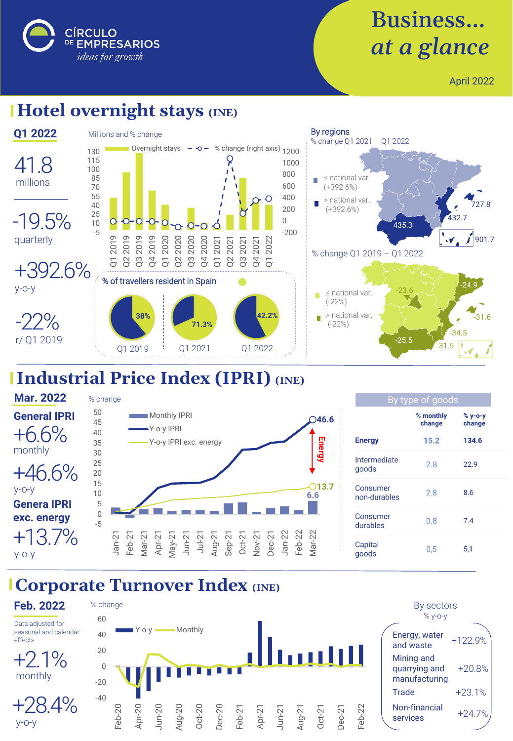

# Business… *at a glance*

April 2022

#### **Hotel overnight stays (INE)**



## **Industrial Price Index (IPRI)** *(INE)*



| By type of goods         |                     |                     |  |
|--------------------------|---------------------|---------------------|--|
|                          | % monthly<br>change | $%$ y-o-y<br>change |  |
| <b>Energy</b>            | 15.2                | 134.6               |  |
| Intermediate<br>goods    | 2.8                 | 22.9                |  |
| Consumer<br>non-durables | 2.8                 | 8.6                 |  |
| Consumer<br>durables     | 0.8                 | 7.4                 |  |
| Capital<br>goods         | 0.5                 | 5.1                 |  |

#### **Corporate Turnover Index (INE)**